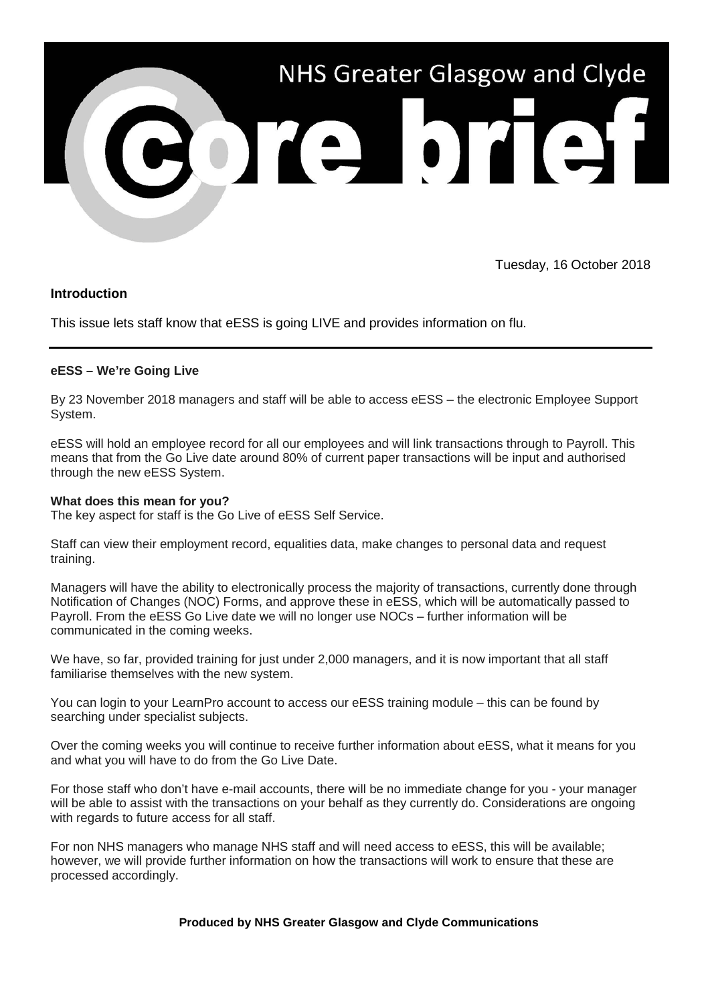

Tuesday, 16 October 2018

## **Introduction**

This issue lets staff know that eESS is going LIVE and provides information on flu.

### **eESS – We're Going Live**

By 23 November 2018 managers and staff will be able to access eESS – the electronic Employee Support System.

eESS will hold an employee record for all our employees and will link transactions through to Payroll. This means that from the Go Live date around 80% of current paper transactions will be input and authorised through the new eESS System.

#### **What does this mean for you?**

The key aspect for staff is the Go Live of eESS Self Service.

Staff can view their employment record, equalities data, make changes to personal data and request training.

Managers will have the ability to electronically process the majority of transactions, currently done through Notification of Changes (NOC) Forms, and approve these in eESS, which will be automatically passed to Payroll. From the eESS Go Live date we will no longer use NOCs – further information will be communicated in the coming weeks.

We have, so far, provided training for just under 2,000 managers, and it is now important that all staff familiarise themselves with the new system.

You can login to your LearnPro account to access our eESS training module – this can be found by searching under specialist subjects.

Over the coming weeks you will continue to receive further information about eESS, what it means for you and what you will have to do from the Go Live Date.

For those staff who don't have e-mail accounts, there will be no immediate change for you - your manager will be able to assist with the transactions on your behalf as they currently do. Considerations are ongoing with regards to future access for all staff.

For non NHS managers who manage NHS staff and will need access to eESS, this will be available; however, we will provide further information on how the transactions will work to ensure that these are processed accordingly.

**Produced by NHS Greater Glasgow and Clyde Communications**